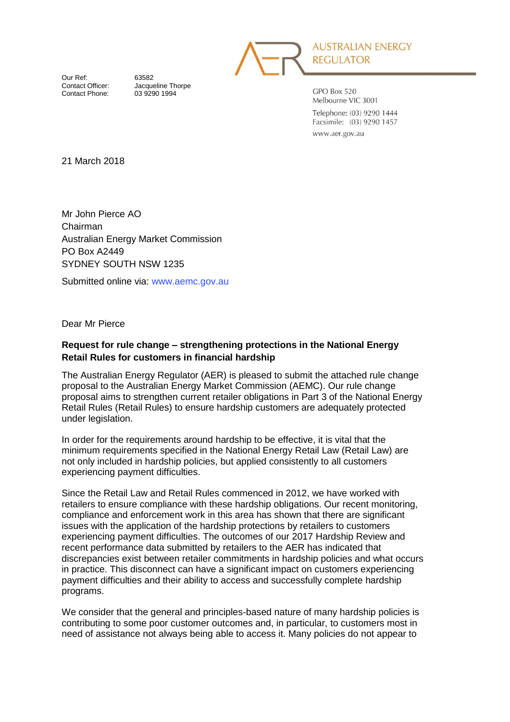

**AUSTRALIAN ENERGY REGULATOR** 

Our Ref: 63582<br>Contact Officer: Jacque Contact Phone:

Jacqueline Thorpe<br>03 9290 1994

GPO Box 520 Melbourne VIC 3001 Telephone: (03) 9290 1444 Facsimile: (03) 9290 1457 www.aer.gov.au

21 March 2018

Mr John Pierce AO Chairman Australian Energy Market Commission PO Box A2449 SYDNEY SOUTH NSW 1235

Submitted online via: [www.aemc.gov.au](http://www.aemc.gov.au/)

Dear Mr Pierce

#### **Request for rule change – strengthening protections in the National Energy Retail Rules for customers in financial hardship**

The Australian Energy Regulator (AER) is pleased to submit the attached rule change proposal to the Australian Energy Market Commission (AEMC). Our rule change proposal aims to strengthen current retailer obligations in Part 3 of the National Energy Retail Rules (Retail Rules) to ensure hardship customers are adequately protected under legislation.

In order for the requirements around hardship to be effective, it is vital that the minimum requirements specified in the National Energy Retail Law (Retail Law) are not only included in hardship policies, but applied consistently to all customers experiencing payment difficulties.

Since the Retail Law and Retail Rules commenced in 2012, we have worked with retailers to ensure compliance with these hardship obligations. Our recent monitoring, compliance and enforcement work in this area has shown that there are significant issues with the application of the hardship protections by retailers to customers experiencing payment difficulties. The outcomes of our 2017 Hardship Review and recent performance data submitted by retailers to the AER has indicated that discrepancies exist between retailer commitments in hardship policies and what occurs in practice. This disconnect can have a significant impact on customers experiencing payment difficulties and their ability to access and successfully complete hardship programs.

We consider that the general and principles-based nature of many hardship policies is contributing to some poor customer outcomes and, in particular, to customers most in need of assistance not always being able to access it. Many policies do not appear to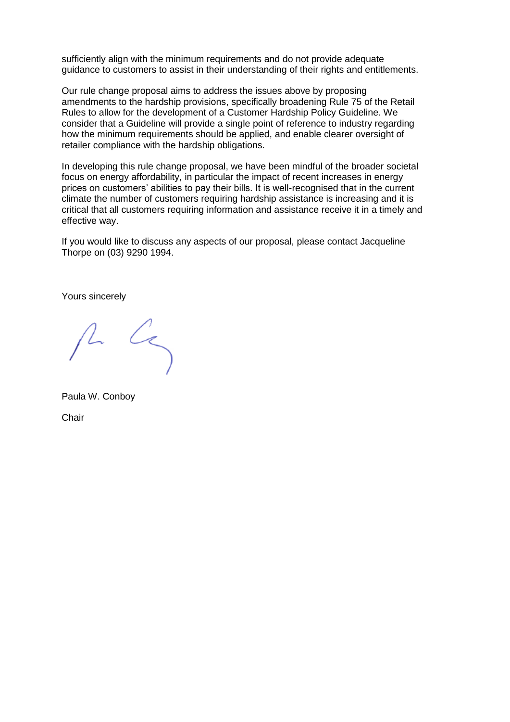sufficiently align with the minimum requirements and do not provide adequate guidance to customers to assist in their understanding of their rights and entitlements.

Our rule change proposal aims to address the issues above by proposing amendments to the hardship provisions, specifically broadening Rule 75 of the Retail Rules to allow for the development of a Customer Hardship Policy Guideline. We consider that a Guideline will provide a single point of reference to industry regarding how the minimum requirements should be applied, and enable clearer oversight of retailer compliance with the hardship obligations.

In developing this rule change proposal, we have been mindful of the broader societal focus on energy affordability, in particular the impact of recent increases in energy prices on customers' abilities to pay their bills. It is well-recognised that in the current climate the number of customers requiring hardship assistance is increasing and it is critical that all customers requiring information and assistance receive it in a timely and effective way.

If you would like to discuss any aspects of our proposal, please contact Jacqueline Thorpe on (03) 9290 1994.

Yours sincerely

 $\mathcal{L}_{\leq}$ 

Paula W. Conboy **Chair**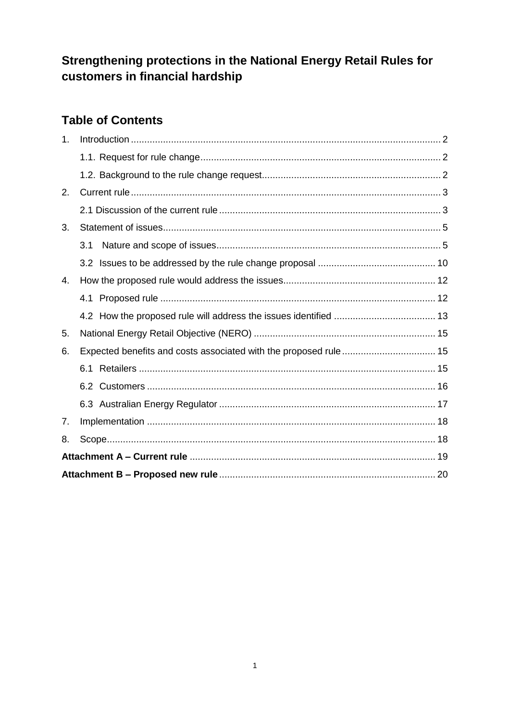# Strengthening protections in the National Energy Retail Rules for customers in financial hardship

# **Table of Contents**

| 1 <sub>1</sub> |     |  |  |  |  |
|----------------|-----|--|--|--|--|
|                |     |  |  |  |  |
|                |     |  |  |  |  |
| 2.             |     |  |  |  |  |
|                |     |  |  |  |  |
| 3.             |     |  |  |  |  |
|                | 3.1 |  |  |  |  |
|                |     |  |  |  |  |
| 4.             |     |  |  |  |  |
|                |     |  |  |  |  |
|                |     |  |  |  |  |
| 5.             |     |  |  |  |  |
| 6.             |     |  |  |  |  |
|                | 6.1 |  |  |  |  |
|                |     |  |  |  |  |
|                |     |  |  |  |  |
| 7.             |     |  |  |  |  |
| 8.             |     |  |  |  |  |
|                |     |  |  |  |  |
|                |     |  |  |  |  |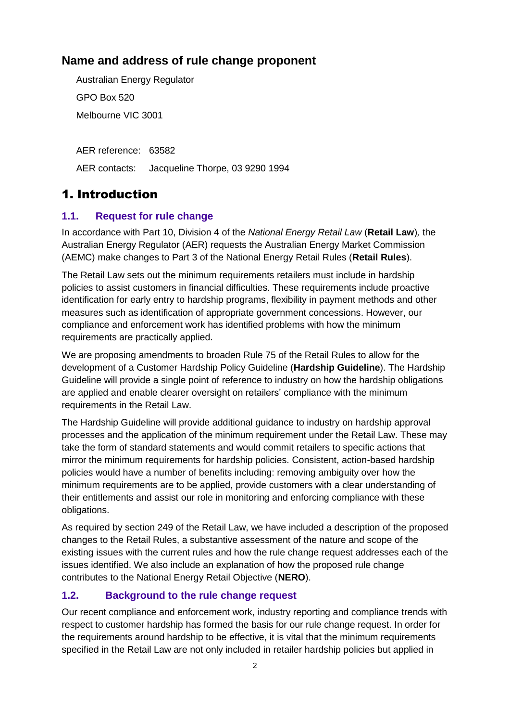## **Name and address of rule change proponent**

Australian Energy Regulator GPO Box 520 Melbourne VIC 3001

AER reference: 63582 AER contacts: Jacqueline Thorpe, 03 9290 1994

# <span id="page-3-0"></span>1. Introduction

## <span id="page-3-1"></span>**1.1. Request for rule change**

In accordance with Part 10, Division 4 of the *National Energy Retail Law* (**Retail Law**)*,* the Australian Energy Regulator (AER) requests the Australian Energy Market Commission (AEMC) make changes to Part 3 of the National Energy Retail Rules (**Retail Rules**).

The Retail Law sets out the minimum requirements retailers must include in hardship policies to assist customers in financial difficulties. These requirements include proactive identification for early entry to hardship programs, flexibility in payment methods and other measures such as identification of appropriate government concessions. However, our compliance and enforcement work has identified problems with how the minimum requirements are practically applied.

We are proposing amendments to broaden Rule 75 of the Retail Rules to allow for the development of a Customer Hardship Policy Guideline (**Hardship Guideline**). The Hardship Guideline will provide a single point of reference to industry on how the hardship obligations are applied and enable clearer oversight on retailers' compliance with the minimum requirements in the Retail Law.

The Hardship Guideline will provide additional guidance to industry on hardship approval processes and the application of the minimum requirement under the Retail Law. These may take the form of standard statements and would commit retailers to specific actions that mirror the minimum requirements for hardship policies. Consistent, action-based hardship policies would have a number of benefits including: removing ambiguity over how the minimum requirements are to be applied, provide customers with a clear understanding of their entitlements and assist our role in monitoring and enforcing compliance with these obligations.

As required by section 249 of the Retail Law, we have included a description of the proposed changes to the Retail Rules, a substantive assessment of the nature and scope of the existing issues with the current rules and how the rule change request addresses each of the issues identified. We also include an explanation of how the proposed rule change contributes to the National Energy Retail Objective (**NERO**).

## <span id="page-3-2"></span>**1.2. Background to the rule change request**

Our recent compliance and enforcement work, industry reporting and compliance trends with respect to customer hardship has formed the basis for our rule change request. In order for the requirements around hardship to be effective, it is vital that the minimum requirements specified in the Retail Law are not only included in retailer hardship policies but applied in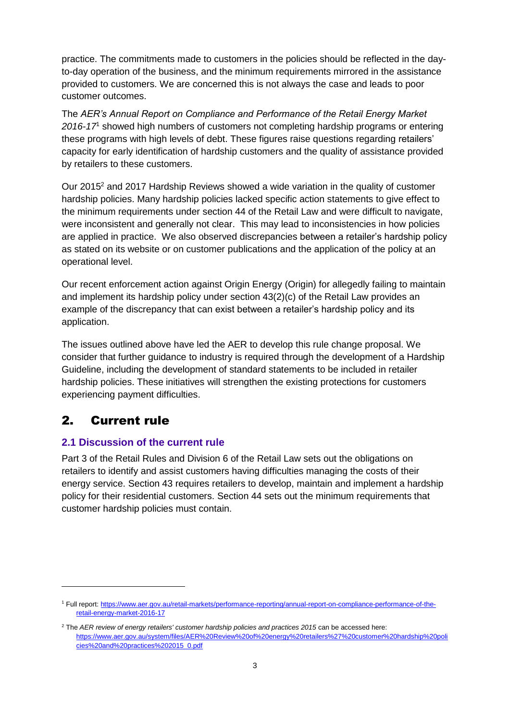practice. The commitments made to customers in the policies should be reflected in the dayto-day operation of the business, and the minimum requirements mirrored in the assistance provided to customers. We are concerned this is not always the case and leads to poor customer outcomes.

The *AER's Annual Report on Compliance and Performance of the Retail Energy Market 2016-17*<sup>1</sup> showed high numbers of customers not completing hardship programs or entering these programs with high levels of debt. These figures raise questions regarding retailers' capacity for early identification of hardship customers and the quality of assistance provided by retailers to these customers.

Our 2015<sup>2</sup> and 2017 Hardship Reviews showed a wide variation in the quality of customer hardship policies. Many hardship policies lacked specific action statements to give effect to the minimum requirements under section 44 of the Retail Law and were difficult to navigate, were inconsistent and generally not clear. This may lead to inconsistencies in how policies are applied in practice. We also observed discrepancies between a retailer's hardship policy as stated on its website or on customer publications and the application of the policy at an operational level.

Our recent enforcement action against Origin Energy (Origin) for allegedly failing to maintain and implement its hardship policy under section 43(2)(c) of the Retail Law provides an example of the discrepancy that can exist between a retailer's hardship policy and its application.

The issues outlined above have led the AER to develop this rule change proposal. We consider that further guidance to industry is required through the development of a Hardship Guideline, including the development of standard statements to be included in retailer hardship policies. These initiatives will strengthen the existing protections for customers experiencing payment difficulties.

## <span id="page-4-0"></span>2. Current rule

 $\overline{a}$ 

#### <span id="page-4-1"></span>**2.1 Discussion of the current rule**

Part 3 of the Retail Rules and Division 6 of the Retail Law sets out the obligations on retailers to identify and assist customers having difficulties managing the costs of their energy service. Section 43 requires retailers to develop, maintain and implement a hardship policy for their residential customers. Section 44 sets out the minimum requirements that customer hardship policies must contain.

<sup>1</sup> Full report[: https://www.aer.gov.au/retail-markets/performance-reporting/annual-report-on-compliance-performance-of-the](https://www.aer.gov.au/retail-markets/performance-reporting/annual-report-on-compliance-performance-of-the-retail-energy-market-2016-17)[retail-energy-market-2016-17](https://www.aer.gov.au/retail-markets/performance-reporting/annual-report-on-compliance-performance-of-the-retail-energy-market-2016-17)

<sup>&</sup>lt;sup>2</sup> The *AER review of energy retailers' customer hardship policies and practices 2015 can be accessed here:* [https://www.aer.gov.au/system/files/AER%20Review%20of%20energy%20retailers%27%20customer%20hardship%20poli](https://www.aer.gov.au/system/files/AER%20Review%20of%20energy%20retailers%27%20customer%20hardship%20policies%20and%20practices%202015_0.pdf) [cies%20and%20practices%202015\\_0.pdf](https://www.aer.gov.au/system/files/AER%20Review%20of%20energy%20retailers%27%20customer%20hardship%20policies%20and%20practices%202015_0.pdf)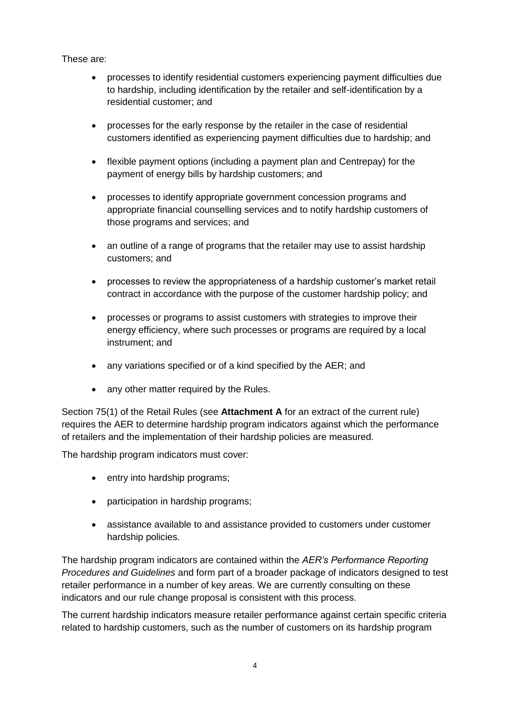These are:

- processes to identify residential customers experiencing payment difficulties due to hardship, including identification by the retailer and self-identification by a residential customer; and
- processes for the early response by the retailer in the case of residential customers identified as experiencing payment difficulties due to hardship; and
- flexible payment options (including a payment plan and Centrepay) for the payment of energy bills by hardship customers; and
- processes to identify appropriate government concession programs and appropriate financial counselling services and to notify hardship customers of those programs and services; and
- an outline of a range of programs that the retailer may use to assist hardship customers; and
- processes to review the appropriateness of a hardship customer's market retail contract in accordance with the purpose of the customer hardship policy; and
- processes or programs to assist customers with strategies to improve their energy efficiency, where such processes or programs are required by a local instrument; and
- any variations specified or of a kind specified by the AER; and
- any other matter required by the Rules.

Section 75(1) of the Retail Rules (see **Attachment A** for an extract of the current rule) requires the AER to determine hardship program indicators against which the performance of retailers and the implementation of their hardship policies are measured.

The hardship program indicators must cover:

- entry into hardship programs;
- participation in hardship programs;
- assistance available to and assistance provided to customers under customer hardship policies.

The hardship program indicators are contained within the *AER's Performance Reporting Procedures and Guidelines* and form part of a broader package of indicators designed to test retailer performance in a number of key areas. We are currently consulting on these indicators and our rule change proposal is consistent with this process.

The current hardship indicators measure retailer performance against certain specific criteria related to hardship customers, such as the number of customers on its hardship program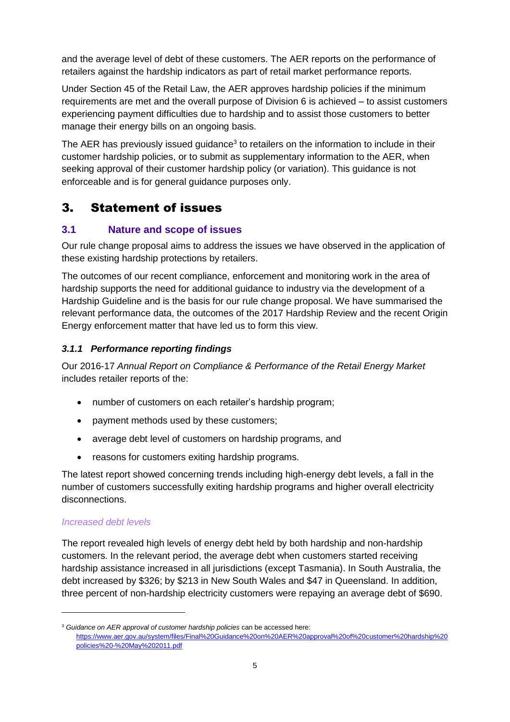and the average level of debt of these customers. The AER reports on the performance of retailers against the hardship indicators as part of retail market performance reports.

Under Section 45 of the Retail Law, the AER approves hardship policies if the minimum requirements are met and the overall purpose of Division 6 is achieved – to assist customers experiencing payment difficulties due to hardship and to assist those customers to better manage their energy bills on an ongoing basis.

The AER has previously issued guidance<sup>3</sup> to retailers on the information to include in their customer hardship policies, or to submit as supplementary information to the AER, when seeking approval of their customer hardship policy (or variation). This guidance is not enforceable and is for general guidance purposes only.

## <span id="page-6-0"></span>3. Statement of issues

## <span id="page-6-1"></span>**3.1 Nature and scope of issues**

Our rule change proposal aims to address the issues we have observed in the application of these existing hardship protections by retailers.

The outcomes of our recent compliance, enforcement and monitoring work in the area of hardship supports the need for additional guidance to industry via the development of a Hardship Guideline and is the basis for our rule change proposal. We have summarised the relevant performance data, the outcomes of the 2017 Hardship Review and the recent Origin Energy enforcement matter that have led us to form this view.

## *3.1.1 Performance reporting findings*

Our 2016-17 *Annual Report on Compliance & Performance of the Retail Energy Market* includes retailer reports of the:

- number of customers on each retailer's hardship program;
- payment methods used by these customers;
- average debt level of customers on hardship programs, and
- reasons for customers exiting hardship programs.

The latest report showed concerning trends including high-energy debt levels, a fall in the number of customers successfully exiting hardship programs and higher overall electricity disconnections.

#### *Increased debt levels*

-

The report revealed high levels of energy debt held by both hardship and non-hardship customers. In the relevant period, the average debt when customers started receiving hardship assistance increased in all jurisdictions (except Tasmania). In South Australia, the debt increased by \$326; by \$213 in New South Wales and \$47 in Queensland. In addition, three percent of non-hardship electricity customers were repaying an average debt of \$690.

<sup>3</sup> *Guidance on AER approval of customer hardship policies* can be accessed here: [https://www.aer.gov.au/system/files/Final%20Guidance%20on%20AER%20approval%20of%20customer%20hardship%20](https://www.aer.gov.au/system/files/Final%20Guidance%20on%20AER%20approval%20of%20customer%20hardship%20policies%20-%20May%202011.pdf) [policies%20-%20May%202011.pdf](https://www.aer.gov.au/system/files/Final%20Guidance%20on%20AER%20approval%20of%20customer%20hardship%20policies%20-%20May%202011.pdf)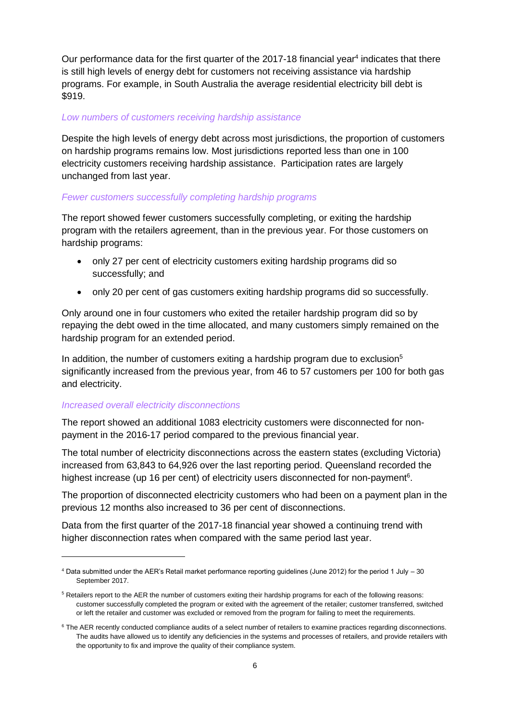Our performance data for the first quarter of the 2017-18 financial year<sup>4</sup> indicates that there is still high levels of energy debt for customers not receiving assistance via hardship programs. For example, in South Australia the average residential electricity bill debt is \$919.

#### *Low numbers of customers receiving hardship assistance*

Despite the high levels of energy debt across most jurisdictions, the proportion of customers on hardship programs remains low. Most jurisdictions reported less than one in 100 electricity customers receiving hardship assistance. Participation rates are largely unchanged from last year.

#### *Fewer customers successfully completing hardship programs*

The report showed fewer customers successfully completing, or exiting the hardship program with the retailers agreement, than in the previous year. For those customers on hardship programs:

- only 27 per cent of electricity customers exiting hardship programs did so successfully; and
- only 20 per cent of gas customers exiting hardship programs did so successfully.

Only around one in four customers who exited the retailer hardship program did so by repaying the debt owed in the time allocated, and many customers simply remained on the hardship program for an extended period.

In addition, the number of customers exiting a hardship program due to exclusion<sup>5</sup> significantly increased from the previous year, from 46 to 57 customers per 100 for both gas and electricity.

#### *Increased overall electricity disconnections*

-

The report showed an additional 1083 electricity customers were disconnected for nonpayment in the 2016-17 period compared to the previous financial year.

The total number of electricity disconnections across the eastern states (excluding Victoria) increased from 63,843 to 64,926 over the last reporting period. Queensland recorded the highest increase (up 16 per cent) of electricity users disconnected for non-payment<sup>6</sup>.

The proportion of disconnected electricity customers who had been on a payment plan in the previous 12 months also increased to 36 per cent of disconnections.

Data from the first quarter of the 2017-18 financial year showed a continuing trend with higher disconnection rates when compared with the same period last year.

 $4$  Data submitted under the AER's Retail market performance reporting guidelines (June 2012) for the period 1 July  $-30$ September 2017.

<sup>&</sup>lt;sup>5</sup> Retailers report to the AER the number of customers exiting their hardship programs for each of the following reasons: customer successfully completed the program or exited with the agreement of the retailer; customer transferred, switched or left the retailer and customer was excluded or removed from the program for failing to meet the requirements.

<sup>&</sup>lt;sup>6</sup> The AER recently conducted compliance audits of a select number of retailers to examine practices regarding disconnections. The audits have allowed us to identify any deficiencies in the systems and processes of retailers, and provide retailers with the opportunity to fix and improve the quality of their compliance system.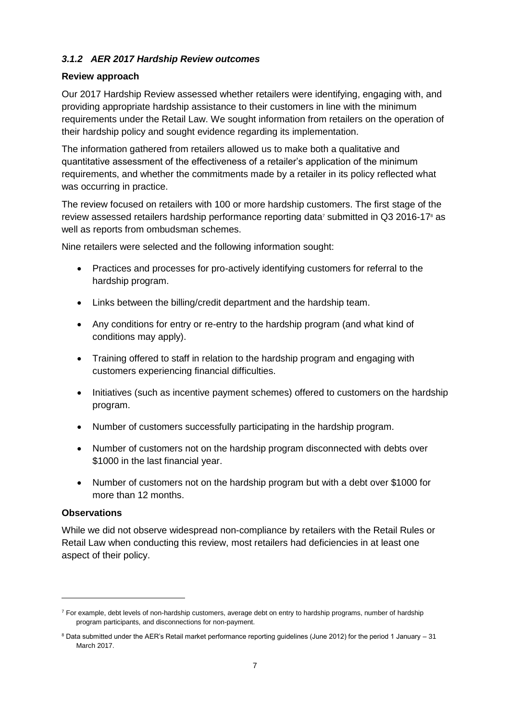#### *3.1.2 AER 2017 Hardship Review outcomes*

#### **Review approach**

Our 2017 Hardship Review assessed whether retailers were identifying, engaging with, and providing appropriate hardship assistance to their customers in line with the minimum requirements under the Retail Law. We sought information from retailers on the operation of their hardship policy and sought evidence regarding its implementation.

The information gathered from retailers allowed us to make both a qualitative and quantitative assessment of the effectiveness of a retailer's application of the minimum requirements, and whether the commitments made by a retailer in its policy reflected what was occurring in practice.

The review focused on retailers with 100 or more hardship customers. The first stage of the review assessed retailers hardship performance reporting data<sup>7</sup> submitted in Q3 2016-17<sup>8</sup> as well as reports from ombudsman schemes.

Nine retailers were selected and the following information sought:

- Practices and processes for pro-actively identifying customers for referral to the hardship program.
- Links between the billing/credit department and the hardship team.
- Any conditions for entry or re-entry to the hardship program (and what kind of conditions may apply).
- Training offered to staff in relation to the hardship program and engaging with customers experiencing financial difficulties.
- Initiatives (such as incentive payment schemes) offered to customers on the hardship program.
- Number of customers successfully participating in the hardship program.
- Number of customers not on the hardship program disconnected with debts over \$1000 in the last financial year.
- Number of customers not on the hardship program but with a debt over \$1000 for more than 12 months.

#### **Observations**

-

While we did not observe widespread non-compliance by retailers with the Retail Rules or Retail Law when conducting this review, most retailers had deficiencies in at least one aspect of their policy.

 $7$  For example, debt levels of non-hardship customers, average debt on entry to hardship programs, number of hardship program participants, and disconnections for non-payment.

<sup>8</sup> Data submitted under the AER's Retail market performance reporting guidelines (June 2012) for the period 1 January – 31 March 2017.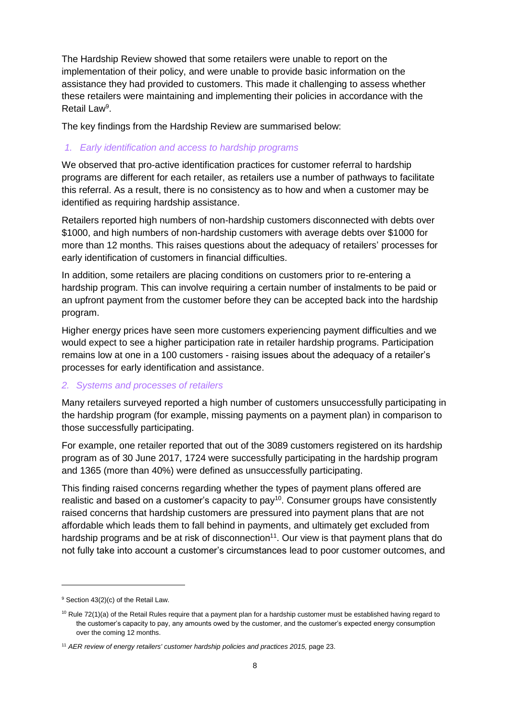The Hardship Review showed that some retailers were unable to report on the implementation of their policy, and were unable to provide basic information on the assistance they had provided to customers. This made it challenging to assess whether these retailers were maintaining and implementing their policies in accordance with the Retail Law<sup>9</sup>.

The key findings from the Hardship Review are summarised below:

#### *1. Early identification and access to hardship programs*

We observed that pro-active identification practices for customer referral to hardship programs are different for each retailer, as retailers use a number of pathways to facilitate this referral. As a result, there is no consistency as to how and when a customer may be identified as requiring hardship assistance.

Retailers reported high numbers of non-hardship customers disconnected with debts over \$1000, and high numbers of non-hardship customers with average debts over \$1000 for more than 12 months. This raises questions about the adequacy of retailers' processes for early identification of customers in financial difficulties.

In addition, some retailers are placing conditions on customers prior to re-entering a hardship program. This can involve requiring a certain number of instalments to be paid or an upfront payment from the customer before they can be accepted back into the hardship program.

Higher energy prices have seen more customers experiencing payment difficulties and we would expect to see a higher participation rate in retailer hardship programs. Participation remains low at one in a 100 customers - raising issues about the adequacy of a retailer's processes for early identification and assistance.

#### *2. Systems and processes of retailers*

Many retailers surveyed reported a high number of customers unsuccessfully participating in the hardship program (for example, missing payments on a payment plan) in comparison to those successfully participating.

For example, one retailer reported that out of the 3089 customers registered on its hardship program as of 30 June 2017, 1724 were successfully participating in the hardship program and 1365 (more than 40%) were defined as unsuccessfully participating.

This finding raised concerns regarding whether the types of payment plans offered are realistic and based on a customer's capacity to  $pay<sup>10</sup>$ . Consumer groups have consistently raised concerns that hardship customers are pressured into payment plans that are not affordable which leads them to fall behind in payments, and ultimately get excluded from hardship programs and be at risk of disconnection<sup>11</sup>. Our view is that payment plans that do not fully take into account a customer's circumstances lead to poor customer outcomes, and

-

<sup>9</sup> Section 43(2)(c) of the Retail Law.

 $10$  Rule 72(1)(a) of the Retail Rules require that a payment plan for a hardship customer must be established having regard to the customer's capacity to pay, any amounts owed by the customer, and the customer's expected energy consumption over the coming 12 months.

<sup>11</sup> *AER review of energy retailers' customer hardship policies and practices 2015,* page 23.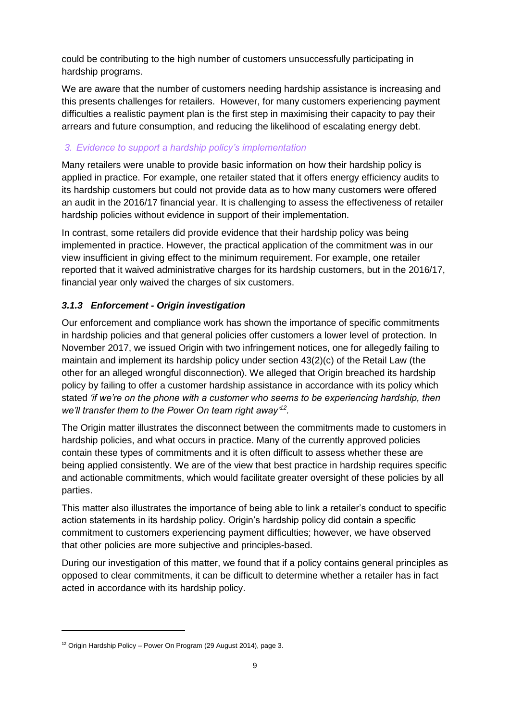could be contributing to the high number of customers unsuccessfully participating in hardship programs.

We are aware that the number of customers needing hardship assistance is increasing and this presents challenges for retailers. However, for many customers experiencing payment difficulties a realistic payment plan is the first step in maximising their capacity to pay their arrears and future consumption, and reducing the likelihood of escalating energy debt.

### *3. Evidence to support a hardship policy's implementation*

Many retailers were unable to provide basic information on how their hardship policy is applied in practice. For example, one retailer stated that it offers energy efficiency audits to its hardship customers but could not provide data as to how many customers were offered an audit in the 2016/17 financial year. It is challenging to assess the effectiveness of retailer hardship policies without evidence in support of their implementation.

In contrast, some retailers did provide evidence that their hardship policy was being implemented in practice. However, the practical application of the commitment was in our view insufficient in giving effect to the minimum requirement. For example, one retailer reported that it waived administrative charges for its hardship customers, but in the 2016/17, financial year only waived the charges of six customers.

## *3.1.3 Enforcement - Origin investigation*

Our enforcement and compliance work has shown the importance of specific commitments in hardship policies and that general policies offer customers a lower level of protection. In November 2017, we issued Origin with two infringement notices, one for allegedly failing to maintain and implement its hardship policy under section 43(2)(c) of the Retail Law (the other for an alleged wrongful disconnection). We alleged that Origin breached its hardship policy by failing to offer a customer hardship assistance in accordance with its policy which stated *'if we're on the phone with a customer who seems to be experiencing hardship, then we'll transfer them to the Power On team right away' 12 .*

The Origin matter illustrates the disconnect between the commitments made to customers in hardship policies, and what occurs in practice. Many of the currently approved policies contain these types of commitments and it is often difficult to assess whether these are being applied consistently. We are of the view that best practice in hardship requires specific and actionable commitments, which would facilitate greater oversight of these policies by all parties.

This matter also illustrates the importance of being able to link a retailer's conduct to specific action statements in its hardship policy. Origin's hardship policy did contain a specific commitment to customers experiencing payment difficulties; however, we have observed that other policies are more subjective and principles-based.

During our investigation of this matter, we found that if a policy contains general principles as opposed to clear commitments, it can be difficult to determine whether a retailer has in fact acted in accordance with its hardship policy.

 $\overline{a}$ 

<sup>&</sup>lt;sup>12</sup> Origin Hardship Policy – Power On Program (29 August 2014), page 3.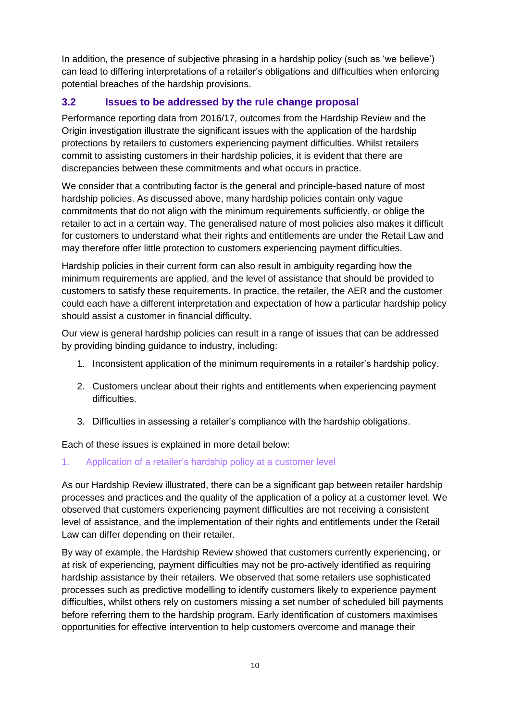In addition, the presence of subjective phrasing in a hardship policy (such as 'we believe') can lead to differing interpretations of a retailer's obligations and difficulties when enforcing potential breaches of the hardship provisions.

## <span id="page-11-0"></span>**3.2 Issues to be addressed by the rule change proposal**

Performance reporting data from 2016/17, outcomes from the Hardship Review and the Origin investigation illustrate the significant issues with the application of the hardship protections by retailers to customers experiencing payment difficulties. Whilst retailers commit to assisting customers in their hardship policies, it is evident that there are discrepancies between these commitments and what occurs in practice.

We consider that a contributing factor is the general and principle-based nature of most hardship policies. As discussed above, many hardship policies contain only vague commitments that do not align with the minimum requirements sufficiently, or oblige the retailer to act in a certain way. The generalised nature of most policies also makes it difficult for customers to understand what their rights and entitlements are under the Retail Law and may therefore offer little protection to customers experiencing payment difficulties.

Hardship policies in their current form can also result in ambiguity regarding how the minimum requirements are applied, and the level of assistance that should be provided to customers to satisfy these requirements. In practice, the retailer, the AER and the customer could each have a different interpretation and expectation of how a particular hardship policy should assist a customer in financial difficulty.

Our view is general hardship policies can result in a range of issues that can be addressed by providing binding guidance to industry, including:

- 1. Inconsistent application of the minimum requirements in a retailer's hardship policy.
- 2. Customers unclear about their rights and entitlements when experiencing payment difficulties.
- 3. Difficulties in assessing a retailer's compliance with the hardship obligations.

Each of these issues is explained in more detail below:

1. Application of a retailer's hardship policy at a customer level

As our Hardship Review illustrated, there can be a significant gap between retailer hardship processes and practices and the quality of the application of a policy at a customer level. We observed that customers experiencing payment difficulties are not receiving a consistent level of assistance, and the implementation of their rights and entitlements under the Retail Law can differ depending on their retailer.

By way of example, the Hardship Review showed that customers currently experiencing, or at risk of experiencing, payment difficulties may not be pro-actively identified as requiring hardship assistance by their retailers. We observed that some retailers use sophisticated processes such as predictive modelling to identify customers likely to experience payment difficulties, whilst others rely on customers missing a set number of scheduled bill payments before referring them to the hardship program. Early identification of customers maximises opportunities for effective intervention to help customers overcome and manage their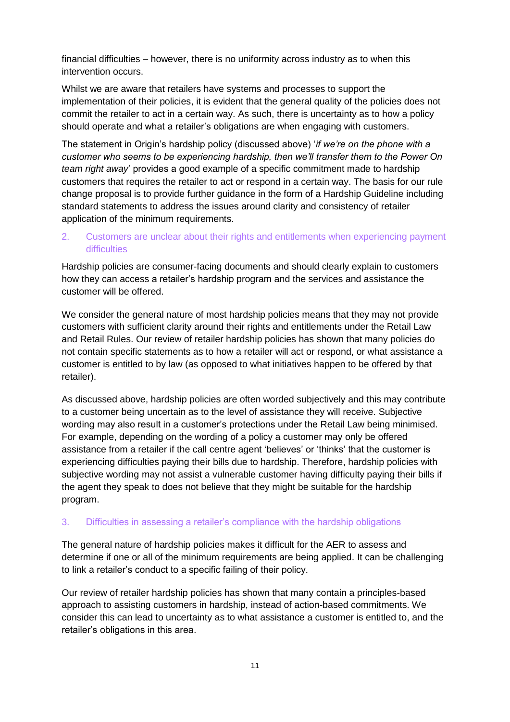financial difficulties – however, there is no uniformity across industry as to when this intervention occurs.

Whilst we are aware that retailers have systems and processes to support the implementation of their policies, it is evident that the general quality of the policies does not commit the retailer to act in a certain way. As such, there is uncertainty as to how a policy should operate and what a retailer's obligations are when engaging with customers.

The statement in Origin's hardship policy (discussed above) '*if we're on the phone with a customer who seems to be experiencing hardship, then we'll transfer them to the Power On team right away*' provides a good example of a specific commitment made to hardship customers that requires the retailer to act or respond in a certain way. The basis for our rule change proposal is to provide further guidance in the form of a Hardship Guideline including standard statements to address the issues around clarity and consistency of retailer application of the minimum requirements.

### 2. Customers are unclear about their rights and entitlements when experiencing payment **difficulties**

Hardship policies are consumer-facing documents and should clearly explain to customers how they can access a retailer's hardship program and the services and assistance the customer will be offered.

We consider the general nature of most hardship policies means that they may not provide customers with sufficient clarity around their rights and entitlements under the Retail Law and Retail Rules. Our review of retailer hardship policies has shown that many policies do not contain specific statements as to how a retailer will act or respond, or what assistance a customer is entitled to by law (as opposed to what initiatives happen to be offered by that retailer).

As discussed above, hardship policies are often worded subjectively and this may contribute to a customer being uncertain as to the level of assistance they will receive. Subjective wording may also result in a customer's protections under the Retail Law being minimised. For example, depending on the wording of a policy a customer may only be offered assistance from a retailer if the call centre agent 'believes' or 'thinks' that the customer is experiencing difficulties paying their bills due to hardship. Therefore, hardship policies with subjective wording may not assist a vulnerable customer having difficulty paying their bills if the agent they speak to does not believe that they might be suitable for the hardship program.

#### 3. Difficulties in assessing a retailer's compliance with the hardship obligations

The general nature of hardship policies makes it difficult for the AER to assess and determine if one or all of the minimum requirements are being applied. It can be challenging to link a retailer's conduct to a specific failing of their policy.

Our review of retailer hardship policies has shown that many contain a principles-based approach to assisting customers in hardship, instead of action-based commitments. We consider this can lead to uncertainty as to what assistance a customer is entitled to, and the retailer's obligations in this area.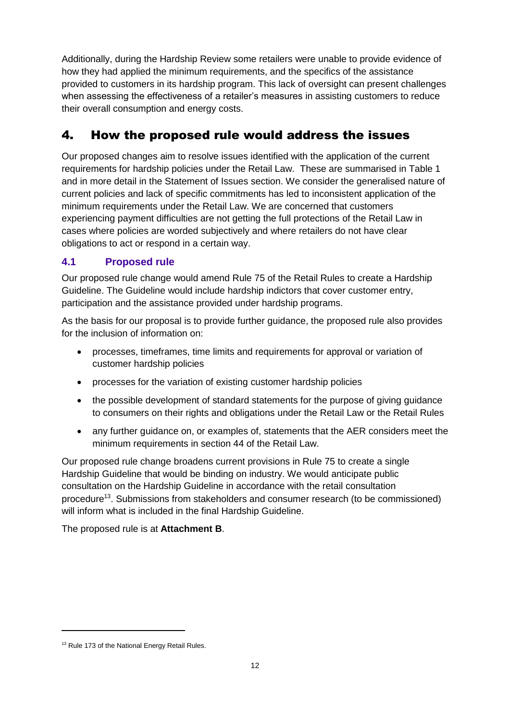Additionally, during the Hardship Review some retailers were unable to provide evidence of how they had applied the minimum requirements, and the specifics of the assistance provided to customers in its hardship program. This lack of oversight can present challenges when assessing the effectiveness of a retailer's measures in assisting customers to reduce their overall consumption and energy costs.

# <span id="page-13-0"></span>4. How the proposed rule would address the issues

Our proposed changes aim to resolve issues identified with the application of the current requirements for hardship policies under the Retail Law. These are summarised in Table 1 and in more detail in the Statement of Issues section. We consider the generalised nature of current policies and lack of specific commitments has led to inconsistent application of the minimum requirements under the Retail Law. We are concerned that customers experiencing payment difficulties are not getting the full protections of the Retail Law in cases where policies are worded subjectively and where retailers do not have clear obligations to act or respond in a certain way.

## <span id="page-13-1"></span>**4.1 Proposed rule**

Our proposed rule change would amend Rule 75 of the Retail Rules to create a Hardship Guideline. The Guideline would include hardship indictors that cover customer entry, participation and the assistance provided under hardship programs.

As the basis for our proposal is to provide further guidance, the proposed rule also provides for the inclusion of information on:

- processes, timeframes, time limits and requirements for approval or variation of customer hardship policies
- processes for the variation of existing customer hardship policies
- the possible development of standard statements for the purpose of giving guidance to consumers on their rights and obligations under the Retail Law or the Retail Rules
- any further guidance on, or examples of, statements that the AER considers meet the minimum requirements in section 44 of the Retail Law.

Our proposed rule change broadens current provisions in Rule 75 to create a single Hardship Guideline that would be binding on industry. We would anticipate public consultation on the Hardship Guideline in accordance with the retail consultation procedure<sup>13</sup>. Submissions from stakeholders and consumer research (to be commissioned) will inform what is included in the final Hardship Guideline.

The proposed rule is at **Attachment B**.

 $\overline{a}$ 

<sup>&</sup>lt;sup>13</sup> Rule 173 of the National Energy Retail Rules.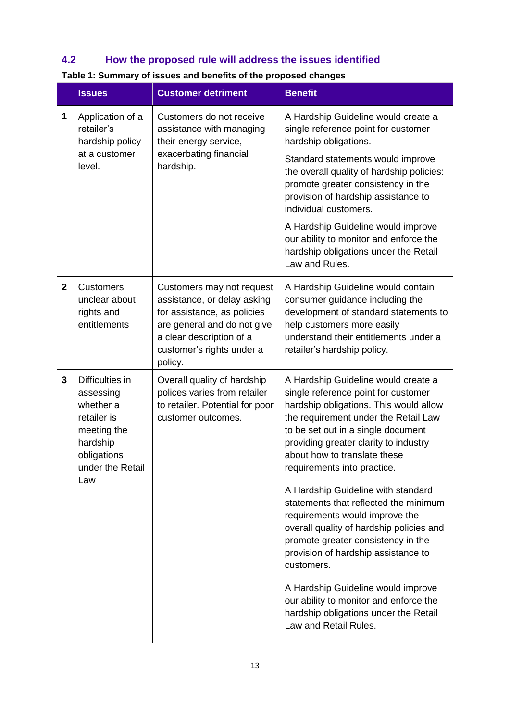## <span id="page-14-0"></span>**4.2 How the proposed rule will address the issues identified**

|                | <b>Issues</b>                                                                                                                                                                                        | <b>Customer detriment</b>                                                                                                                                                                  | <b>Benefit</b>                                                                                                                                                                                                                                                                                                                                                                                                                                                                                                                                                     |
|----------------|------------------------------------------------------------------------------------------------------------------------------------------------------------------------------------------------------|--------------------------------------------------------------------------------------------------------------------------------------------------------------------------------------------|--------------------------------------------------------------------------------------------------------------------------------------------------------------------------------------------------------------------------------------------------------------------------------------------------------------------------------------------------------------------------------------------------------------------------------------------------------------------------------------------------------------------------------------------------------------------|
| 1              | Application of a<br>Customers do not receive<br>retailer's<br>assistance with managing<br>hardship policy<br>their energy service,<br>exacerbating financial<br>at a customer<br>hardship.<br>level. | A Hardship Guideline would create a<br>single reference point for customer<br>hardship obligations.                                                                                        |                                                                                                                                                                                                                                                                                                                                                                                                                                                                                                                                                                    |
|                |                                                                                                                                                                                                      |                                                                                                                                                                                            | Standard statements would improve<br>the overall quality of hardship policies:<br>promote greater consistency in the<br>provision of hardship assistance to<br>individual customers.                                                                                                                                                                                                                                                                                                                                                                               |
|                |                                                                                                                                                                                                      |                                                                                                                                                                                            | A Hardship Guideline would improve<br>our ability to monitor and enforce the<br>hardship obligations under the Retail<br>Law and Rules.                                                                                                                                                                                                                                                                                                                                                                                                                            |
| $\overline{2}$ | <b>Customers</b><br>unclear about<br>rights and<br>entitlements                                                                                                                                      | Customers may not request<br>assistance, or delay asking<br>for assistance, as policies<br>are general and do not give<br>a clear description of a<br>customer's rights under a<br>policy. | A Hardship Guideline would contain<br>consumer guidance including the<br>development of standard statements to<br>help customers more easily<br>understand their entitlements under a<br>retailer's hardship policy.                                                                                                                                                                                                                                                                                                                                               |
| 3              | Difficulties in<br>assessing<br>whether a<br>retailer is<br>meeting the<br>hardship<br>obligations<br>under the Retail<br>Law                                                                        | Overall quality of hardship<br>polices varies from retailer<br>to retailer. Potential for poor<br>customer outcomes.                                                                       | A Hardship Guideline would create a<br>single reference point for customer<br>hardship obligations. This would allow<br>the requirement under the Retail Law<br>to be set out in a single document<br>providing greater clarity to industry<br>about how to translate these<br>requirements into practice.<br>A Hardship Guideline with standard<br>statements that reflected the minimum<br>requirements would improve the<br>overall quality of hardship policies and<br>promote greater consistency in the<br>provision of hardship assistance to<br>customers. |
|                |                                                                                                                                                                                                      |                                                                                                                                                                                            | A Hardship Guideline would improve<br>our ability to monitor and enforce the<br>hardship obligations under the Retail<br>Law and Retail Rules.                                                                                                                                                                                                                                                                                                                                                                                                                     |

## **Table 1: Summary of issues and benefits of the proposed changes**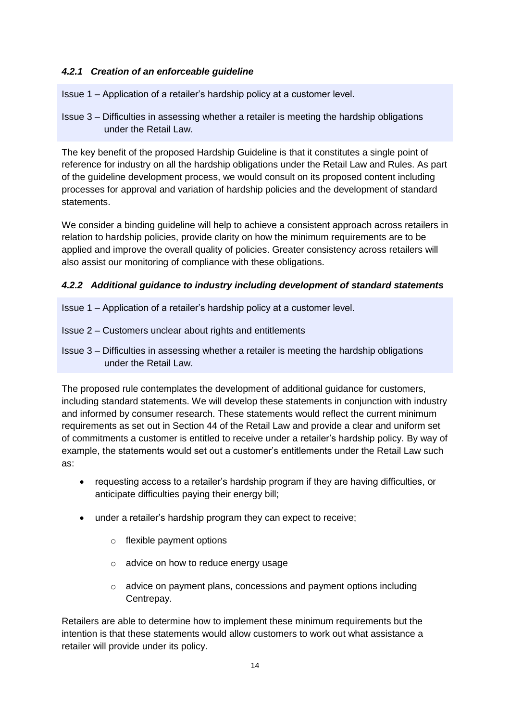#### *4.2.1 Creation of an enforceable guideline*

Issue 1 – Application of a retailer's hardship policy at a customer level.

Issue 3 – Difficulties in assessing whether a retailer is meeting the hardship obligations under the Retail Law.

The key benefit of the proposed Hardship Guideline is that it constitutes a single point of reference for industry on all the hardship obligations under the Retail Law and Rules. As part of the guideline development process, we would consult on its proposed content including processes for approval and variation of hardship policies and the development of standard statements.

We consider a binding guideline will help to achieve a consistent approach across retailers in relation to hardship policies, provide clarity on how the minimum requirements are to be applied and improve the overall quality of policies. Greater consistency across retailers will also assist our monitoring of compliance with these obligations.

### *4.2.2 Additional guidance to industry including development of standard statements*

- Issue 1 Application of a retailer's hardship policy at a customer level.
- Issue 2 Customers unclear about rights and entitlements

Issue 3 – Difficulties in assessing whether a retailer is meeting the hardship obligations under the Retail Law.

The proposed rule contemplates the development of additional guidance for customers, including standard statements. We will develop these statements in conjunction with industry and informed by consumer research. These statements would reflect the current minimum requirements as set out in Section 44 of the Retail Law and provide a clear and uniform set of commitments a customer is entitled to receive under a retailer's hardship policy. By way of example, the statements would set out a customer's entitlements under the Retail Law such as:

- requesting access to a retailer's hardship program if they are having difficulties, or anticipate difficulties paying their energy bill;
- under a retailer's hardship program they can expect to receive;
	- o flexible payment options
	- o advice on how to reduce energy usage
	- o advice on payment plans, concessions and payment options including Centrepay.

Retailers are able to determine how to implement these minimum requirements but the intention is that these statements would allow customers to work out what assistance a retailer will provide under its policy.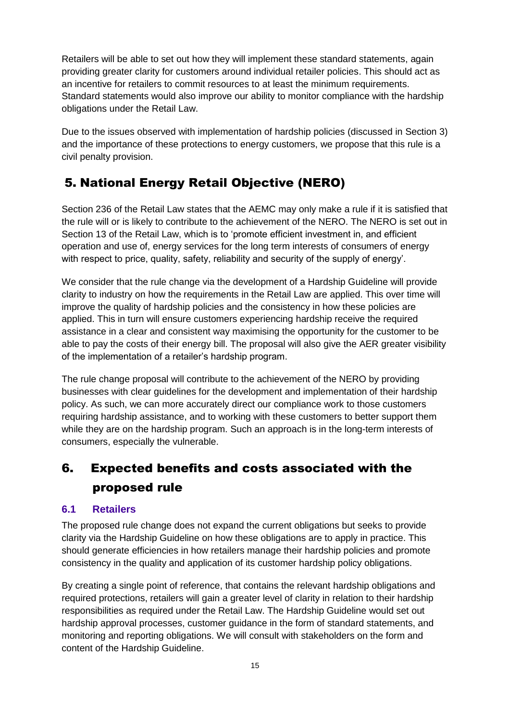Retailers will be able to set out how they will implement these standard statements, again providing greater clarity for customers around individual retailer policies. This should act as an incentive for retailers to commit resources to at least the minimum requirements. Standard statements would also improve our ability to monitor compliance with the hardship obligations under the Retail Law.

Due to the issues observed with implementation of hardship policies (discussed in Section 3) and the importance of these protections to energy customers, we propose that this rule is a civil penalty provision.

# <span id="page-16-0"></span>5. National Energy Retail Objective (NERO)

Section 236 of the Retail Law states that the AEMC may only make a rule if it is satisfied that the rule will or is likely to contribute to the achievement of the NERO. The NERO is set out in Section 13 of the Retail Law, which is to 'promote efficient investment in, and efficient operation and use of, energy services for the long term interests of consumers of energy with respect to price, quality, safety, reliability and security of the supply of energy'.

We consider that the rule change via the development of a Hardship Guideline will provide clarity to industry on how the requirements in the Retail Law are applied. This over time will improve the quality of hardship policies and the consistency in how these policies are applied. This in turn will ensure customers experiencing hardship receive the required assistance in a clear and consistent way maximising the opportunity for the customer to be able to pay the costs of their energy bill. The proposal will also give the AER greater visibility of the implementation of a retailer's hardship program.

The rule change proposal will contribute to the achievement of the NERO by providing businesses with clear guidelines for the development and implementation of their hardship policy. As such, we can more accurately direct our compliance work to those customers requiring hardship assistance, and to working with these customers to better support them while they are on the hardship program. Such an approach is in the long-term interests of consumers, especially the vulnerable.

# <span id="page-16-1"></span>6. Expected benefits and costs associated with the proposed rule

## <span id="page-16-2"></span>**6.1 Retailers**

The proposed rule change does not expand the current obligations but seeks to provide clarity via the Hardship Guideline on how these obligations are to apply in practice. This should generate efficiencies in how retailers manage their hardship policies and promote consistency in the quality and application of its customer hardship policy obligations.

By creating a single point of reference, that contains the relevant hardship obligations and required protections, retailers will gain a greater level of clarity in relation to their hardship responsibilities as required under the Retail Law. The Hardship Guideline would set out hardship approval processes, customer guidance in the form of standard statements, and monitoring and reporting obligations. We will consult with stakeholders on the form and content of the Hardship Guideline.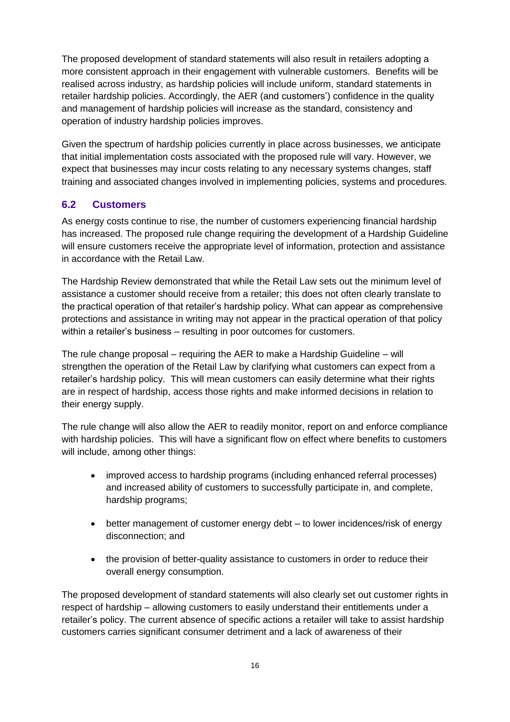The proposed development of standard statements will also result in retailers adopting a more consistent approach in their engagement with vulnerable customers. Benefits will be realised across industry, as hardship policies will include uniform, standard statements in retailer hardship policies. Accordingly, the AER (and customers') confidence in the quality and management of hardship policies will increase as the standard, consistency and operation of industry hardship policies improves.

Given the spectrum of hardship policies currently in place across businesses, we anticipate that initial implementation costs associated with the proposed rule will vary. However, we expect that businesses may incur costs relating to any necessary systems changes, staff training and associated changes involved in implementing policies, systems and procedures.

### <span id="page-17-0"></span>**6.2 Customers**

As energy costs continue to rise, the number of customers experiencing financial hardship has increased. The proposed rule change requiring the development of a Hardship Guideline will ensure customers receive the appropriate level of information, protection and assistance in accordance with the Retail Law.

The Hardship Review demonstrated that while the Retail Law sets out the minimum level of assistance a customer should receive from a retailer; this does not often clearly translate to the practical operation of that retailer's hardship policy. What can appear as comprehensive protections and assistance in writing may not appear in the practical operation of that policy within a retailer's business – resulting in poor outcomes for customers.

The rule change proposal – requiring the AER to make a Hardship Guideline – will strengthen the operation of the Retail Law by clarifying what customers can expect from a retailer's hardship policy. This will mean customers can easily determine what their rights are in respect of hardship, access those rights and make informed decisions in relation to their energy supply.

The rule change will also allow the AER to readily monitor, report on and enforce compliance with hardship policies. This will have a significant flow on effect where benefits to customers will include, among other things:

- improved access to hardship programs (including enhanced referral processes) and increased ability of customers to successfully participate in, and complete, hardship programs;
- better management of customer energy debt to lower incidences/risk of energy disconnection; and
- the provision of better-quality assistance to customers in order to reduce their overall energy consumption.

The proposed development of standard statements will also clearly set out customer rights in respect of hardship – allowing customers to easily understand their entitlements under a retailer's policy. The current absence of specific actions a retailer will take to assist hardship customers carries significant consumer detriment and a lack of awareness of their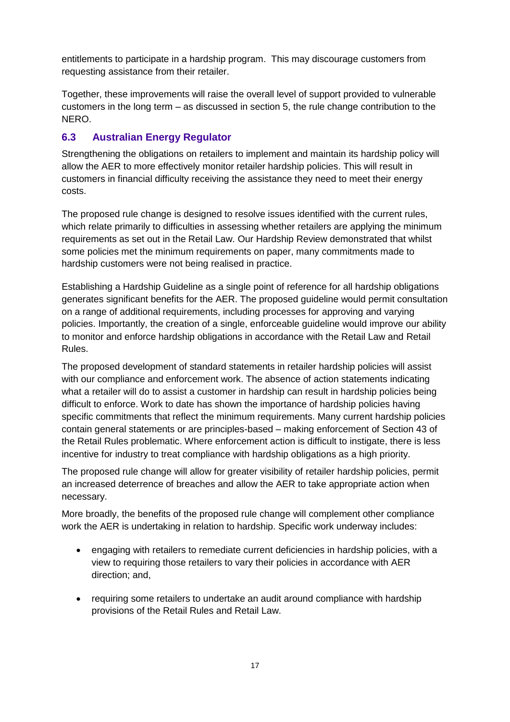entitlements to participate in a hardship program. This may discourage customers from requesting assistance from their retailer.

Together, these improvements will raise the overall level of support provided to vulnerable customers in the long term – as discussed in section 5, the rule change contribution to the **NERO** 

## <span id="page-18-0"></span>**6.3 Australian Energy Regulator**

Strengthening the obligations on retailers to implement and maintain its hardship policy will allow the AER to more effectively monitor retailer hardship policies. This will result in customers in financial difficulty receiving the assistance they need to meet their energy costs.

The proposed rule change is designed to resolve issues identified with the current rules, which relate primarily to difficulties in assessing whether retailers are applying the minimum requirements as set out in the Retail Law. Our Hardship Review demonstrated that whilst some policies met the minimum requirements on paper, many commitments made to hardship customers were not being realised in practice.

Establishing a Hardship Guideline as a single point of reference for all hardship obligations generates significant benefits for the AER. The proposed guideline would permit consultation on a range of additional requirements, including processes for approving and varying policies. Importantly, the creation of a single, enforceable guideline would improve our ability to monitor and enforce hardship obligations in accordance with the Retail Law and Retail Rules.

The proposed development of standard statements in retailer hardship policies will assist with our compliance and enforcement work. The absence of action statements indicating what a retailer will do to assist a customer in hardship can result in hardship policies being difficult to enforce. Work to date has shown the importance of hardship policies having specific commitments that reflect the minimum requirements. Many current hardship policies contain general statements or are principles-based – making enforcement of Section 43 of the Retail Rules problematic. Where enforcement action is difficult to instigate, there is less incentive for industry to treat compliance with hardship obligations as a high priority.

The proposed rule change will allow for greater visibility of retailer hardship policies, permit an increased deterrence of breaches and allow the AER to take appropriate action when necessary.

More broadly, the benefits of the proposed rule change will complement other compliance work the AER is undertaking in relation to hardship. Specific work underway includes:

- engaging with retailers to remediate current deficiencies in hardship policies, with a view to requiring those retailers to vary their policies in accordance with AER direction; and,
- requiring some retailers to undertake an audit around compliance with hardship provisions of the Retail Rules and Retail Law.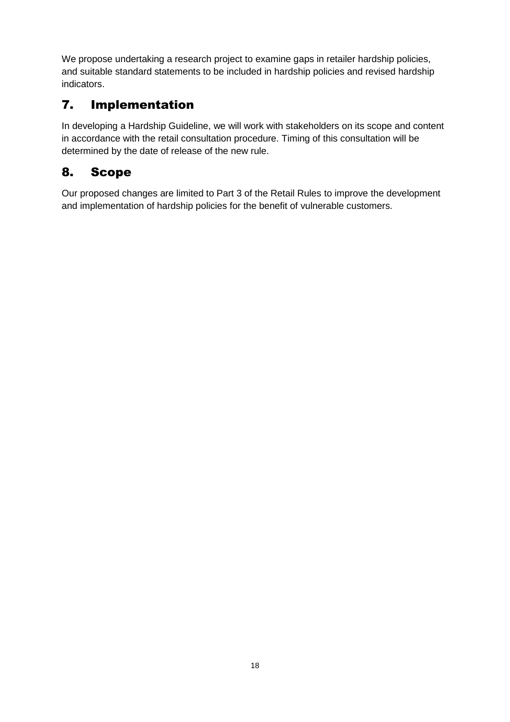We propose undertaking a research project to examine gaps in retailer hardship policies, and suitable standard statements to be included in hardship policies and revised hardship indicators.

# <span id="page-19-0"></span>7. Implementation

In developing a Hardship Guideline, we will work with stakeholders on its scope and content in accordance with the retail consultation procedure. Timing of this consultation will be determined by the date of release of the new rule.

# <span id="page-19-1"></span>8. Scope

Our proposed changes are limited to Part 3 of the Retail Rules to improve the development and implementation of hardship policies for the benefit of vulnerable customers.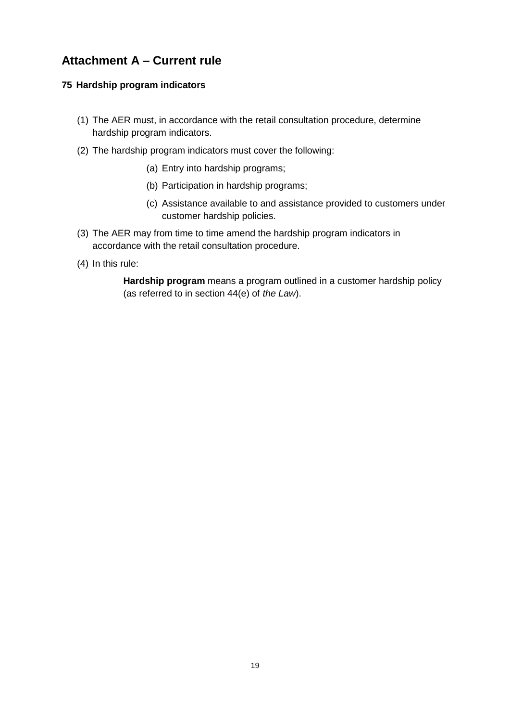## <span id="page-20-0"></span>**Attachment A – Current rule**

#### **75 Hardship program indicators**

- (1) The AER must, in accordance with the retail consultation procedure, determine hardship program indicators.
- (2) The hardship program indicators must cover the following:
	- (a) Entry into hardship programs;
	- (b) Participation in hardship programs;
	- (c) Assistance available to and assistance provided to customers under customer hardship policies.
- (3) The AER may from time to time amend the hardship program indicators in accordance with the retail consultation procedure.
- (4) In this rule:

**Hardship program** means a program outlined in a customer hardship policy (as referred to in section 44(e) of *the Law*).